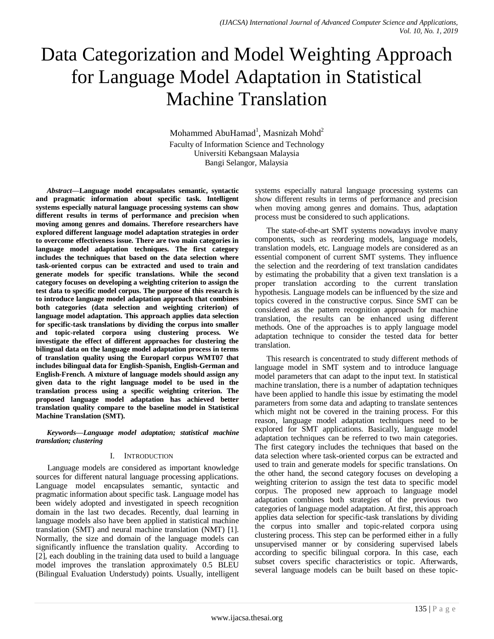# Data Categorization and Model Weighting Approach for Language Model Adaptation in Statistical Machine Translation

Mohammed AbuHamad<sup>1</sup>, Masnizah Mohd<sup>2</sup> Faculty of Information Science and Technology Universiti Kebangsaan Malaysia Bangi Selangor, Malaysia

*Abstract***—Language model encapsulates semantic, syntactic and pragmatic information about specific task. Intelligent systems especially natural language processing systems can show different results in terms of performance and precision when moving among genres and domains. Therefore researchers have explored different language model adaptation strategies in order to overcome effectiveness issue. There are two main categories in language model adaptation techniques. The first category includes the techniques that based on the data selection where task-oriented corpus can be extracted and used to train and generate models for specific translations. While the second category focuses on developing a weighting criterion to assign the test data to specific model corpus. The purpose of this research is to introduce language model adaptation approach that combines both categories (data selection and weighting criterion) of language model adaptation. This approach applies data selection for specific-task translations by dividing the corpus into smaller and topic-related corpora using clustering process. We investigate the effect of different approaches for clustering the bilingual data on the language model adaptation process in terms of translation quality using the Europarl corpus WMT07 that includes bilingual data for English-Spanish, English-German and English-French. A mixture of language models should assign any given data to the right language model to be used in the translation process using a specific weighting criterion. The proposed language model adaptation has achieved better translation quality compare to the baseline model in Statistical Machine Translation (SMT).**

*Keywords—Language model adaptation; statistical machine translation; clustering*

### I. INTRODUCTION

Language models are considered as important knowledge sources for different natural language processing applications. Language model encapsulates semantic, syntactic and pragmatic information about specific task. Language model has been widely adopted and investigated in speech recognition domain in the last two decades. Recently, dual learning in language models also have been applied in statistical machine translation (SMT) and neural machine translation (NMT) [1]. Normally, the size and domain of the language models can significantly influence the translation quality. According to [2], each doubling in the training data used to build a language model improves the translation approximately 0.5 BLEU (Bilingual Evaluation Understudy) points. Usually, intelligent systems especially natural language processing systems can show different results in terms of performance and precision when moving among genres and domains. Thus, adaptation process must be considered to such applications.

The state-of-the-art SMT systems nowadays involve many components, such as reordering models, language models, translation models, etc. Language models are considered as an essential component of current SMT systems. They influence the selection and the reordering of text translation candidates by estimating the probability that a given text translation is a proper translation according to the current translation hypothesis. Language models can be influenced by the size and topics covered in the constructive corpus. Since SMT can be considered as the pattern recognition approach for machine translation, the results can be enhanced using different methods. One of the approaches is to apply language model adaptation technique to consider the tested data for better translation.

This research is concentrated to study different methods of language model in SMT system and to introduce language model parameters that can adapt to the input text. In statistical machine translation, there is a number of adaptation techniques have been applied to handle this issue by estimating the model parameters from some data and adapting to translate sentences which might not be covered in the training process. For this reason, language model adaptation techniques need to be explored for SMT applications. Basically, language model adaptation techniques can be referred to two main categories. The first category includes the techniques that based on the data selection where task-oriented corpus can be extracted and used to train and generate models for specific translations. On the other hand, the second category focuses on developing a weighting criterion to assign the test data to specific model corpus. The proposed new approach to language model adaptation combines both strategies of the previous two categories of language model adaptation. At first, this approach applies data selection for specific-task translations by dividing the corpus into smaller and topic-related corpora using clustering process. This step can be performed either in a fully unsupervised manner or by considering supervised labels according to specific bilingual corpora. In this case, each subset covers specific characteristics or topic. Afterwards, several language models can be built based on these topic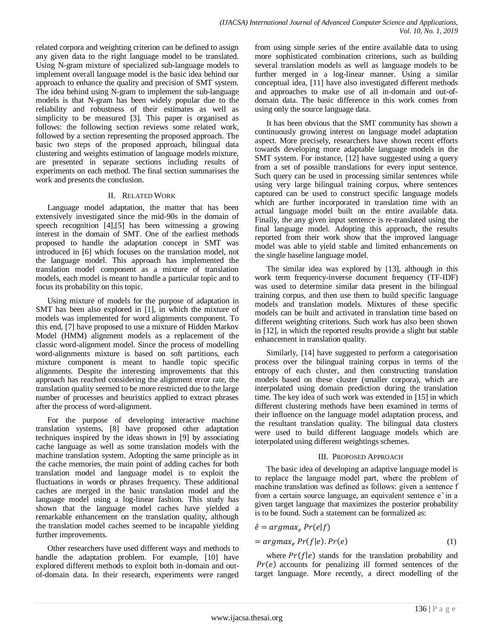related corpora and weighting criterion can be defined to assign any given data to the right language model to be translated. Using N-gram mixture of specialized sub-language models to implement overall language model is the basic idea behind our approach to enhance the quality and precision of SMT system. The idea behind using N-gram to implement the sub-language models is that N-gram has been widely popular due to the reliability and robustness of their estimates as well as simplicity to be measured [3]. This paper is organised as follows: the following section reviews some related work, followed by a section representing the proposed approach. The basic two steps of the proposed approach, bilingual data clustering and weights estimation of language models mixture, are presented in separate sections including results of experiments on each method. The final section summarises the work and presents the conclusion.

## II. RELATED WORK

Language model adaptation, the matter that has been extensively investigated since the mid-90s in the domain of speech recognition [4],[5] has been witnessing a growing interest in the domain of SMT. One of the earliest methods proposed to handle the adaptation concept in SMT was introduced in [6] which focuses on the translation model, not the language model. This approach has implemented the translation model component as a mixture of translation models, each model is meant to handle a particular topic and to focus its probability on this topic.

Using mixture of models for the purpose of adaptation in SMT has been also explored in [1], in which the mixture of models was implemented for word alignments component. To this end, [7] have proposed to use a mixture of Hidden Markov Model (HMM) alignment models as a replacement of the classic word-alignment model. Since the process of modelling word-alignments mixture is based on soft partitions, each mixture component is meant to handle topic specific alignments. Despite the interesting improvements that this approach has reached considering the alignment error rate, the translation quality seemed to be more restricted due to the large number of processes and heuristics applied to extract phrases after the process of word-alignment.

For the purpose of developing interactive machine translation systems, [8] have proposed other adaptation techniques inspired by the ideas shown in [9] by associating cache language as well as some translation models with the machine translation system. Adopting the same principle as in the cache memories, the main point of adding caches for both translation model and language model is to exploit the fluctuations in words or phrases frequency. These additional caches are merged in the basic translation model and the language model using a log-linear fashion. This study has shown that the language model caches have yielded a remarkable enhancement on the translation quality, although the translation model caches seemed to be incapable yielding further improvements.

Other researchers have used different ways and methods to handle the adaptation problem. For example, [10] have explored different methods to exploit both in-domain and outof-domain data. In their research, experiments were ranged from using simple series of the entire available data to using more sophisticated combination criterions, such as building several translation models as well as language models to be further merged in a log-linear manner. Using a similar conceptual idea, [11] have also investigated different methods and approaches to make use of all in-domain and out-ofdomain data. The basic difference in this work comes from using only the source language data.

It has been obvious that the SMT community has shown a continuously growing interest on language model adaptation aspect. More precisely, researchers have shown recent efforts towards developing more adaptable language models in the SMT system. For instance, [12] have suggested using a query from a set of possible translations for every input sentence. Such query can be used in processing similar sentences while using very large bilingual training corpus, where sentences captured can be used to construct specific language models which are further incorporated in translation time with an actual language model built on the entire available data. Finally, the any given input sentence is re-translated using the final language model. Adopting this approach, the results reported from their work show that the improved language model was able to yield stable and limited enhancements on the single baseline language model.

The similar idea was explored by [13], although in this work term frequency-inverse document frequency (TF-IDF) was used to determine similar data present in the bilingual training corpus, and then use them to build specific language models and translation models. Mixtures of these specific models can be built and activated in translation time based on different weighting criterions. Such work has also been shown in [12], in which the reported results provide a slight but stable enhancement in translation quality.

Similarly, [14] have suggested to perform a categorisation process over the bilingual training corpus in terms of the entropy of each cluster, and then constructing translation models based on these cluster (smaller corpora), which are interpolated using domain prediction during the translation time. The key idea of such work was extended in [15] in which different clustering methods have been examined in terms of their influence on the language model adaptation process, and the resultant translation quality. The bilingual data clusters were used to build different language models which are interpolated using different weightings schemes.

### III. PROPOSED APPROACH

The basic idea of developing an adaptive language model is to replace the language model part, where the problem of machine translation was defined as follows: given a sentence f from a certain source language, an equivalent sentence e^in a given target language that maximizes the posterior probability is to be found. Such a statement can be formalized as:

$$
\hat{e} = argmax_e Pr(e|f) \n= argmax_e Pr(f|e). Pr(e)
$$
\n(1)

where  $Pr(f | e)$  stands for the translation probability and  $Pr(e)$  accounts for penalizing ill formed sentences of the target language. More recently, a direct modelling of the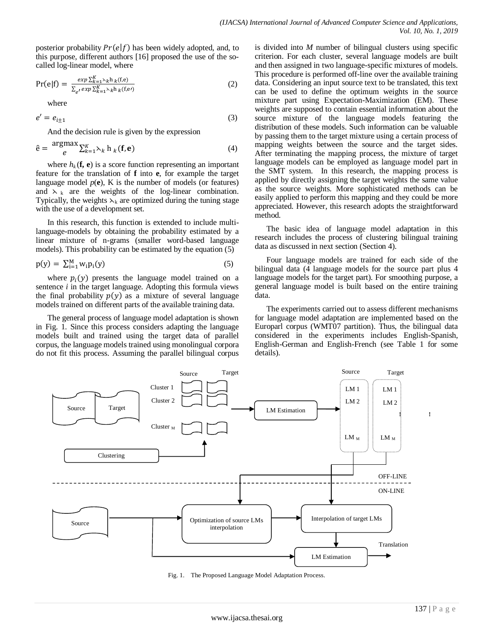posterior probability  $Pr(e|f)$  has been widely adopted, and, to this purpose, different authors [16] proposed the use of the socalled log-linear model, where

$$
Pr(e|f) = \frac{\exp \sum_{k=1}^{K} \lambda_k h_k(f,e)}{\sum_{e'} \exp \sum_{k=1}^{K} \lambda_k h_k(f,e')}
$$
 (2)

where

$$
e' = e_{i \pm 1} \tag{3}
$$

And the decision rule is given by the expression

$$
\hat{\mathbf{e}} = \frac{\text{argmax}}{e} \sum_{k=1}^{K} \lambda_k \mathbf{h}_k(\mathbf{f}, \mathbf{e})
$$
(4)

where  $h_k(\mathbf{f}, \mathbf{e})$  is a score function representing an important feature for the translation of **f** into **e**, for example the target language model  $p(e)$ , K is the number of models (or features) and  $x_k$  are the weights of the log-linear combination. Typically, the weights  $\lambda_k$  are optimized during the tuning stage with the use of a development set.

In this research, this function is extended to include multilanguage-models by obtaining the probability estimated by a linear mixture of n-grams (smaller word-based language models). This probability can be estimated by the equation (5)

$$
p(y) = \sum_{i=1}^{M} w_i p_i(y) \tag{5}
$$

where  $p_i(y)$  presents the language model trained on a sentence *i* in the target language. Adopting this formula views the final probability  $p(y)$  as a mixture of several language models trained on different parts of the available training data.

The general process of language model adaptation is shown in Fig. 1. Since this process considers adapting the language models built and trained using the target data of parallel corpus, the language models trained using monolingual corpora do not fit this process. Assuming the parallel bilingual corpus is divided into *M* number of bilingual clusters using specific criterion. For each cluster, several language models are built and then assigned in two language-specific mixtures of models. This procedure is performed off-line over the available training data. Considering an input source text to be translated, this text can be used to define the optimum weights in the source mixture part using Expectation-Maximization (EM). These weights are supposed to contain essential information about the source mixture of the language models featuring the distribution of these models. Such information can be valuable by passing them to the target mixture using a certain process of mapping weights between the source and the target sides. After terminating the mapping process, the mixture of target language models can be employed as language model part in the SMT system. In this research, the mapping process is applied by directly assigning the target weights the same value as the source weights. More sophisticated methods can be easily applied to perform this mapping and they could be more appreciated. However, this research adopts the straightforward method.

The basic idea of language model adaptation in this research includes the process of clustering bilingual training data as discussed in next section (Section 4).

Four language models are trained for each side of the bilingual data (4 language models for the source part plus 4 language models for the target part). For smoothing purpose, a general language model is built based on the entire training data.

The experiments carried out to assess different mechanisms for language model adaptation are implemented based on the Europarl corpus (WMT07 partition). Thus, the bilingual data considered in the experiments includes English-Spanish, English-German and English-French (see Table 1 for some details).



Fig. 1. The Proposed Language Model Adaptation Process.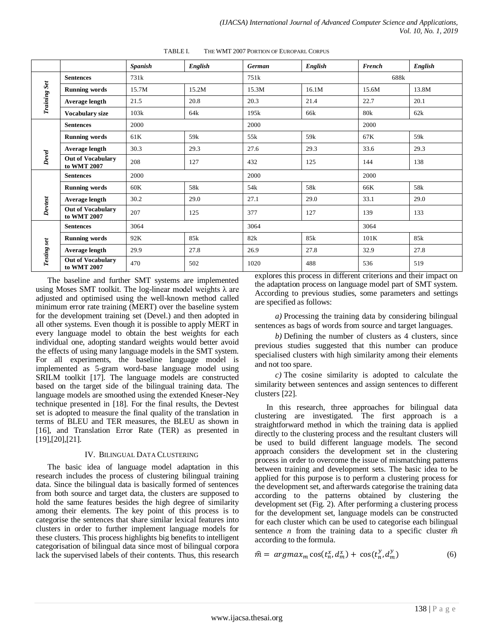|                     |                                         | <b>Spanish</b>   | English         | <b>German</b>         | <b>English</b>  | <b>French</b>   | English                     |  |
|---------------------|-----------------------------------------|------------------|-----------------|-----------------------|-----------------|-----------------|-----------------------------|--|
| <b>Training Set</b> | <b>Sentences</b>                        | 731 <sub>k</sub> |                 | 751k                  |                 | 688k            |                             |  |
|                     | <b>Running words</b>                    | 15.7M            | 15.2M           | 15.3M                 | 16.1M           | 15.6M           | 13.8M                       |  |
|                     | Average length                          | 21.5             | 20.8            | 20.3                  | 21.4            | 22.7            | 20.1                        |  |
|                     | <b>Vocabulary size</b>                  | 103k             | 64k             | 195k                  | 66k             | 80 <sub>k</sub> | 62k                         |  |
| Devel               | <b>Sentences</b>                        | 2000             |                 | 2000                  |                 | 2000            |                             |  |
|                     | <b>Running words</b>                    | 61K              | 59 <sub>k</sub> | 55k                   | 59 <sub>k</sub> | 67K             | 59 <sub>k</sub>             |  |
|                     | Average length                          | 30.3             | 29.3            | 27.6                  | 29.3            | 33.6            | 29.3                        |  |
|                     | <b>Out of Vocabulary</b><br>to WMT 2007 | 208              | 127             | 432                   | 125             | 144             | 138                         |  |
| Devtest             | <b>Sentences</b>                        | 2000             |                 | 2000                  |                 | 2000            |                             |  |
|                     | <b>Running words</b>                    | 60K              | 58k             | 54 <sub>k</sub>       | 58k             | 66K             | 58k                         |  |
|                     | Average length                          | 30.2             | 29.0            | 27.1                  | 29.0            | 33.1            | 29.0                        |  |
|                     | <b>Out of Vocabulary</b><br>to WMT 2007 | 207              | 125             | 377                   | 127             | 139             | 133                         |  |
| Testing set         | <b>Sentences</b>                        | 3064             |                 | 3064                  |                 | 3064            |                             |  |
|                     | <b>Running words</b>                    | 92K              | 85k             | 82k                   | 85k             | 101K            | 85k                         |  |
|                     | Average length                          | 29.9             | 27.8            | 26.9                  | 27.8            | 32.9            | 27.8                        |  |
|                     | <b>Out of Vocabulary</b><br>to WMT 2007 | 470              | 502             | 1020<br>$\sim$ $\sim$ | 488<br>$\cdots$ | 536             | 519<br>$\sim$ $\sim$ $\sim$ |  |

TABLE I. THE WMT 2007 PORTION OF EUROPARL CORPUS

The baseline and further SMT systems are implemented using Moses SMT toolkit. The log-linear model weights  $\lambda$  are adjusted and optimised using the well-known method called minimum error rate training (MERT) over the baseline system for the development training set (Devel.) and then adopted in all other systems. Even though it is possible to apply MERT in every language model to obtain the best weights for each individual one, adopting standard weights would better avoid the effects of using many language models in the SMT system. For all experiments, the baseline language model is implemented as 5-gram word-base language model using SRILM toolkit [17]. The language models are constructed based on the target side of the bilingual training data. The language models are smoothed using the extended Kneser-Ney technique presented in [18]. For the final results, the Devtest set is adopted to measure the final quality of the translation in terms of BLEU and TER measures, the BLEU as shown in [16], and Translation Error Rate (TER) as presented in [19],[20],[21].

### IV. BILINGUAL DATA CLUSTERING

The basic idea of language model adaptation in this research includes the process of clustering bilingual training data. Since the bilingual data is basically formed of sentences from both source and target data, the clusters are supposed to hold the same features besides the high degree of similarity among their elements. The key point of this process is to categorise the sentences that share similar lexical features into clusters in order to further implement language models for these clusters. This process highlights big benefits to intelligent categorisation of bilingual data since most of bilingual corpora lack the supervised labels of their contents. Thus, this research explores this process in different criterions and their impact on the adaptation process on language model part of SMT system. According to previous studies, some parameters and settings are specified as follows:

*a)* Processing the training data by considering bilingual sentences as bags of words from source and target languages.

*b)* Defining the number of clusters as 4 clusters, since previous studies suggested that this number can produce specialised clusters with high similarity among their elements and not too spare.

*c)* The cosine similarity is adopted to calculate the similarity between sentences and assign sentences to different clusters [22].

In this research, three approaches for bilingual data clustering are investigated. The first approach is a straightforward method in which the training data is applied directly to the clustering process and the resultant clusters will be used to build different language models. The second approach considers the development set in the clustering process in order to overcome the issue of mismatching patterns between training and development sets. The basic idea to be applied for this purpose is to perform a clustering process for the development set, and afterwards categorise the training data according to the patterns obtained by clustering the development set (Fig. 2). After performing a clustering process for the development set, language models can be constructed for each cluster which can be used to categorise each bilingual sentence *n* from the training data to a specific cluster  $\hat{m}$ according to the formula.

$$
\hat{m} = argmax_m \cos(t_n^x, d_m^x) + \cos(t_n^y, d_m^y) \tag{6}
$$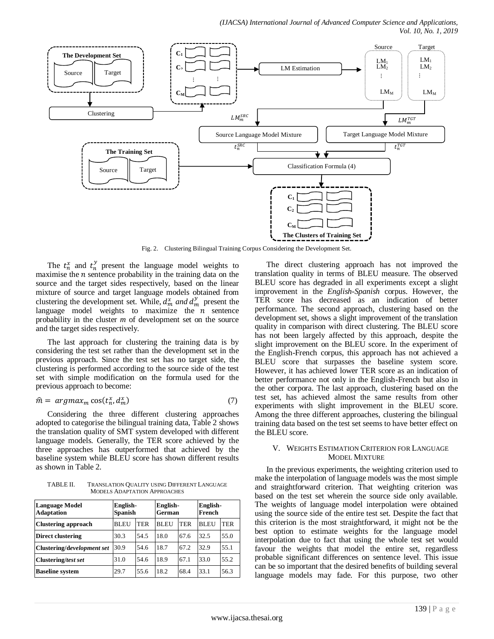

Fig. 2. Clustering Bilingual Training Corpus Considering the Development Set.

The  $t_n^x$  and  $t_n^y$  present the language model weights to maximise the  $n$  sentence probability in the training data on the source and the target sides respectively, based on the linear mixture of source and target language models obtained from clustering the development set. While,  $d_m^x$  and  $d_m^y$  present the language model weights to maximize the  $n$  sentence probability in the cluster *m* of development set on the source and the target sides respectively.

The last approach for clustering the training data is by considering the test set rather than the development set in the previous approach. Since the test set has no target side, the clustering is performed according to the source side of the test set with simple modification on the formula used for the previous approach to become:

$$
\hat{m} = argmax_m \cos(t_n^x, d_m^x) \tag{7}
$$

Considering the three different clustering approaches adopted to categorise the bilingual training data, Table 2 shows the translation quality of SMT system developed with different language models. Generally, the TER score achieved by the three approaches has outperformed that achieved by the baseline system while BLEU score has shown different results as shown in Table 2.

TABLE II. TRANSLATION QUALITY USING DIFFERENT LANGUAGE MODELS ADAPTATION APPROACHES

| <b>Language Model</b><br><b>Adaptation</b> | English-<br><b>Spanish</b> |      | English-<br>German |      | English-<br>French |      |
|--------------------------------------------|----------------------------|------|--------------------|------|--------------------|------|
| <b>Clustering approach</b>                 | BLEU                       | TER  | BLEU               | TER  | BLEU               | TER  |
| <b>Direct clustering</b>                   | 30.3                       | 54.5 | 18.0               | 67.6 | 32.5               | 55.0 |
| Clustering/development set                 | 30.9                       | 54.6 | 18.7               | 67.2 | 32.9               | 55.1 |
| <b>Clustering/test set</b>                 | 31.0                       | 54.6 | 18.9               | 67.1 | 33.0               | 55.2 |
| <b>Baseline system</b>                     | 29.7                       | 55.6 | 18.2               | 68.4 | 33.1               | 56.3 |

The direct clustering approach has not improved the translation quality in terms of BLEU measure. The observed BLEU score has degraded in all experiments except a slight improvement in the *English-Spanish* corpus. However, the TER score has decreased as an indication of better performance. The second approach, clustering based on the development set, shows a slight improvement of the translation quality in comparison with direct clustering. The BLEU score has not been largely affected by this approach, despite the slight improvement on the BLEU score. In the experiment of the English-French corpus, this approach has not achieved a BLEU score that surpasses the baseline system score. However, it has achieved lower TER score as an indication of better performance not only in the English-French but also in the other corpora. The last approach, clustering based on the test set, has achieved almost the same results from other experiments with slight improvement in the BLEU score. Among the three different approaches, clustering the bilingual training data based on the test set seems to have better effect on the BLEU score.

#### V. WEIGHTS ESTIMATION CRITERION FOR LANGUAGE MODEL MIXTURE

In the previous experiments, the weighting criterion used to make the interpolation of language models was the most simple and straightforward criterion. That weighting criterion was based on the test set wherein the source side only available. The weights of language model interpolation were obtained using the source side of the entire test set. Despite the fact that this criterion is the most straightforward, it might not be the best option to estimate weights for the language model interpolation due to fact that using the whole test set would favour the weights that model the entire set, regardless probable significant differences on sentence level. This issue can be so important that the desired benefits of building several language models may fade. For this purpose, two other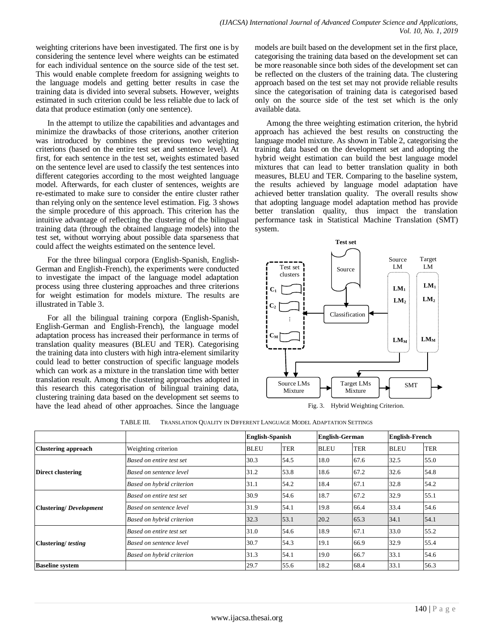weighting criterions have been investigated. The first one is by considering the sentence level where weights can be estimated for each individual sentence on the source side of the test set. This would enable complete freedom for assigning weights to the language models and getting better results in case the training data is divided into several subsets. However, weights estimated in such criterion could be less reliable due to lack of data that produce estimation (only one sentence).

In the attempt to utilize the capabilities and advantages and minimize the drawbacks of those criterions, another criterion was introduced by combines the previous two weighting criterions (based on the entire test set and sentence level). At first, for each sentence in the test set, weights estimated based on the sentence level are used to classify the test sentences into different categories according to the most weighted language model. Afterwards, for each cluster of sentences, weights are re-estimated to make sure to consider the entire cluster rather than relying only on the sentence level estimation. Fig. 3 shows the simple procedure of this approach. This criterion has the intuitive advantage of reflecting the clustering of the bilingual training data (through the obtained language models) into the test set, without worrying about possible data sparseness that could affect the weights estimated on the sentence level.

For the three bilingual corpora (English-Spanish, English-German and English-French), the experiments were conducted to investigate the impact of the language model adaptation process using three clustering approaches and three criterions for weight estimation for models mixture. The results are illustrated in Table 3.

For all the bilingual training corpora (English-Spanish, English-German and English-French), the language model adaptation process has increased their performance in terms of translation quality measures (BLEU and TER). Categorising the training data into clusters with high intra-element similarity could lead to better construction of specific language models which can work as a mixture in the translation time with better translation result. Among the clustering approaches adopted in this research this categorisation of bilingual training data, clustering training data based on the development set seems to have the lead ahead of other approaches. Since the language models are built based on the development set in the first place, categorising the training data based on the development set can be more reasonable since both sides of the development set can be reflected on the clusters of the training data. The clustering approach based on the test set may not provide reliable results since the categorisation of training data is categorised based only on the source side of the test set which is the only available data.

Among the three weighting estimation criterion, the hybrid approach has achieved the best results on constructing the language model mixture. As shown in Table 2, categorising the training data based on the development set and adopting the hybrid weight estimation can build the best language model mixtures that can lead to better translation quality in both measures, BLEU and TER. Comparing to the baseline system, the results achieved by language model adaptation have achieved better translation quality. The overall results show that adopting language model adaptation method has provide better translation quality, thus impact the translation performance task in Statistical Machine Translation (SMT) system.



Fig. 3. Hybrid Weighting Criterion.

|                               |                           | <b>English-Spanish</b> |            | <b>English-German</b> |            | <b>English-French</b> |            |
|-------------------------------|---------------------------|------------------------|------------|-----------------------|------------|-----------------------|------------|
| <b>Clustering approach</b>    | Weighting criterion       | <b>BLEU</b>            | <b>TER</b> | <b>BLEU</b>           | <b>TER</b> | <b>BLEU</b>           | <b>TER</b> |
|                               | Based on entire test set  | 30.3                   | 54.5       | 18.0                  | 67.6       | 32.5                  | 55.0       |
| <b>Direct clustering</b>      | Based on sentence level   | 31.2                   | 53.8       | 18.6                  | 67.2       | 32.6                  | 54.8       |
|                               | Based on hybrid criterion | 31.1                   | 54.2       | 18.4                  | 67.1       | 32.8                  | 54.2       |
|                               | Based on entire test set  | 30.9                   | 54.6       | 18.7                  | 67.2       | 32.9                  | 55.1       |
| <b>Clustering/Development</b> | Based on sentence level   | 31.9                   | 54.1       | 19.8                  | 66.4       | 33.4                  | 54.6       |
|                               | Based on hybrid criterion | 32.3                   | 53.1       | 20.2                  | 65.3       | 34.1                  | 54.1       |
|                               | Based on entire test set  | 31.0                   | 54.6       | 18.9                  | 67.1       | 33.0                  | 55.2       |
| Clustering/testing            | Based on sentence level   | 30.7                   | 54.3       | 19.1                  | 66.9       | 32.9                  | 55.4       |
|                               | Based on hybrid criterion | 31.3                   | 54.1       | 19.0                  | 66.7       | 33.1                  | 54.6       |
| <b>Baseline system</b>        |                           | 29.7                   | 55.6       | 18.2                  | 68.4       | 33.1                  | 56.3       |